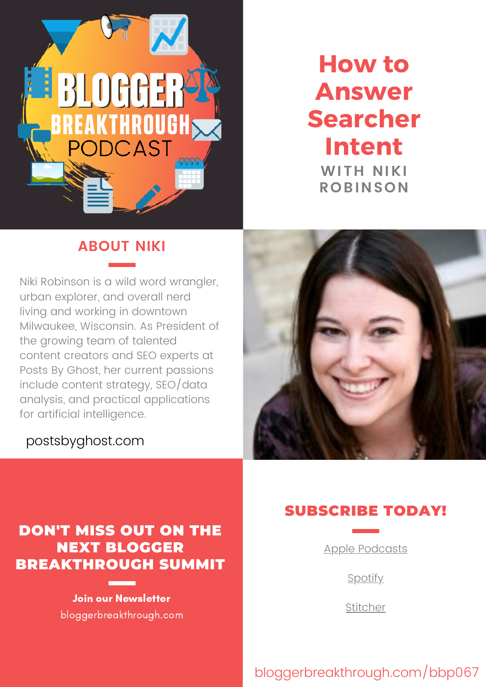

# **How to Answer Searcher Intent WITH NIKI ROBINSON**

## **ABOUT NIKI**

Niki Robinson is a wild word wrangler, urban explorer, and overall nerd living and working in downtown Milwaukee, Wisconsin. As President of the growing team of talented content creators and SEO experts at Posts By Ghost, her current passions include content strategy, SEO/data analysis, and practical applications for artificial intelligence.

### [postsbyghost.com](https://kimdoyal.com/)



# DON'T MISS OUT ON THE NEXT BLOGGER BREAKTHROUGH SUMMIT

Join our Newsletter bloggerbreakthrough.com

# SUBSCRIBE TODAY!

Apple [Podcasts](https://podcasts.apple.com/us/podcast/the-blogger-breakthrough-podcast/id1522227374)

**[Spotify](https://open.spotify.com/show/6elvYXXn7pasFW6StqgrZg)** 

[Stitcher](https://www.stitcher.com/podcast/the-blogger-breakthrough-podcast)

bloggerbreakthrough.com/bbp067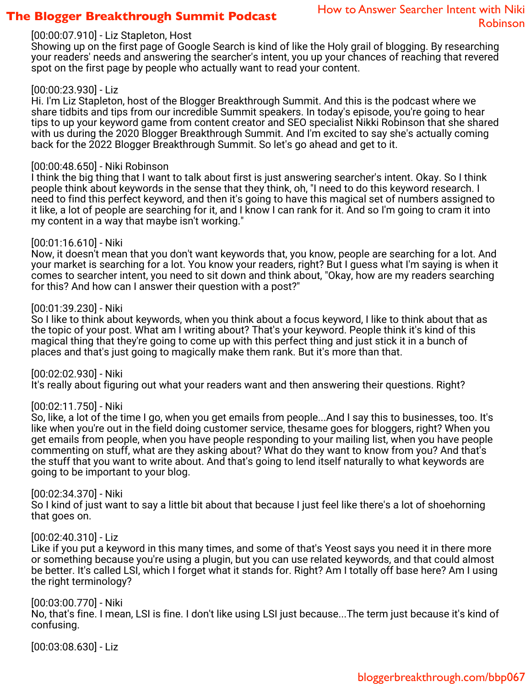### **The Blogger Breakthrough Summit Podcast**

#### [00:00:07.910] - Liz Stapleton, Host

Showing up on the first page of Google Search is kind of like the Holy grail of blogging. By researching your readers' needs and answering the searcher's intent, you up your chances of reaching that revered spot on the first page by people who actually want to read your content.

#### [00:00:23.930] - Liz

Hi. I'm Liz Stapleton, host of the Blogger Breakthrough Summit. And this is the podcast where we share tidbits and tips from our incredible Summit speakers. In today's episode, you're going to hear tips to up your keyword game from content creator and SEO specialist Nikki Robinson that she shared with us during the 2020 Blogger Breakthrough Summit. And I'm excited to say she's actually coming back for the 2022 Blogger Breakthrough Summit. So let's go ahead and get to it.

#### [00:00:48.650] - Niki Robinson

I think the big thing that I want to talk about first is just answering searcher's intent. Okay. So I think people think about keywords in the sense that they think, oh, "I need to do this keyword research. I need to find this perfect keyword, and then it's going to have this magical set of numbers assigned to it like, a lot of people are searching for it, and I know I can rank for it. And so I'm going to cram it into my content in a way that maybe isn't working."

#### [00:01:16.610] - Niki

Now, it doesn't mean that you don't want keywords that, you know, people are searching for a lot. And your market is searching for a lot. You know your readers, right? But I guess what I'm saying is when it comes to searcher intent, you need to sit down and think about, "Okay, how are my readers searching for this? And how can I answer their question with a post?"

#### [00:01:39.230] - Niki

So I like to think about keywords, when you think about a focus keyword, I like to think about that as the topic of your post. What am I writing about? That's your keyword. People think it's kind of this magical thing that they're going to come up with this perfect thing and just stick it in a bunch of places and that's just going to magically make them rank. But it's more than that.

[00:02:02.930] - Niki

It's really about figuring out what your readers want and then answering their questions. Right?

#### [00:02:11.750] - Niki

So, like, a lot of the time I go, when you get emails from people...And I say this to businesses, too. It's like when you're out in the field doing customer service, thesame goes for bloggers, right? When you get emails from people, when you have people responding to your mailing list, when you have people commenting on stuff, what are they asking about? What do they want to know from you? And that's the stuff that you want to write about. And that's going to lend itself naturally to what keywords are going to be important to your blog.

#### [00:02:34.370] - Niki

So I kind of just want to say a little bit about that because I just feel like there's a lot of shoehorning that goes on.

#### [00:02:40.310] - Liz

Like if you put a keyword in this many times, and some of that's Yeost says you need it in there more or something because you're using a plugin, but you can use related keywords, and that could almost be better. It's called LSI, which I forget what it stands for. Right? Am I totally off base here? Am I using the right terminology?

#### [00:03:00.770] - Niki

No, that's fine. I mean, LSI is fine. I don't like using LSI just because...The term just because it's kind of confusing.

[00:03:08.630] - Liz

### bloggerbreakthrough.com/bbp067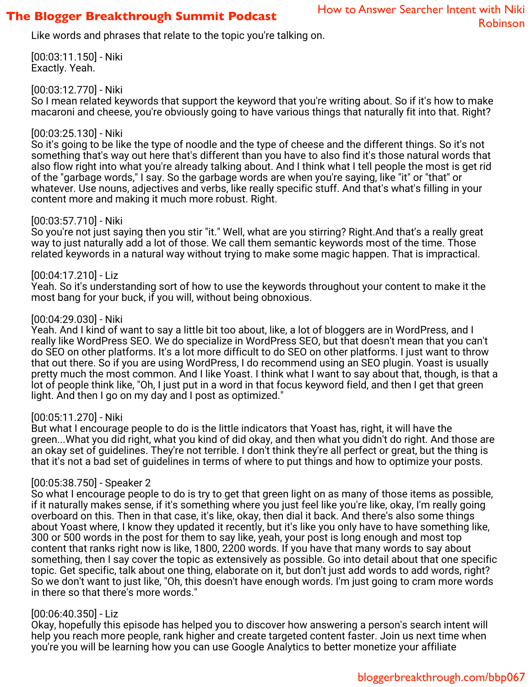### **The Blogger Breakthrough Summit Podcast**

Like words and phrases that relate to the topic you're talking on.

[00:03:11.150] - Niki Exactly. Yeah.

#### [00:03:12.770] - Niki

So I mean related keywords that support the keyword that you're writing about. So if it's how to make macaroni and cheese, you're obviously going to have various things that naturally fit into that. Right?

#### [00:03:25.130] - Niki

So it's going to be like the type of noodle and the type of cheese and the different things. So it's not something that's way out here that's different than you have to also find it's those natural words that also flow right into what you're already talking about. And I think what I tell people the most is get rid of the "garbage words," I say. So the garbage words are when you're saying, like "it" or "that" or whatever. Use nouns, adjectives and verbs, like really specific stuff. And that's what's filling in your content more and making it much more robust. Right.

#### [00:03:57.710] - Niki

So you're not just saying then you stir "it." Well, what are you stirring? Right.And that's a really great way to just naturally add a lot of those. We call them semantic keywords most of the time. Those related keywords in a natural way without trying to make some magic happen. That is impractical.

#### [00:04:17.210] - Liz

Yeah. So it's understanding sort of how to use the keywords throughout your content to make it the most bang for your buck, if you will, without being obnoxious.

#### [00:04:29.030] - Niki

Yeah. And I kind of want to say a little bit too about, like, a lot of bloggers are in WordPress, and I really like WordPress SEO. We do specialize in WordPress SEO, but that doesn't mean that you can't do SEO on other platforms. It's a lot more difficult to do SEO on other platforms. I just want to throw that out there. So if you are using WordPress, I do recommend using an SEO plugin. Yoast is usually pretty much the most common. And I like Yoast. I think what I want to say about that, though, is that a lot of people think like, "Oh, I just put in a word in that focus keyword field, and then I get that green light. And then I go on my day and I post as optimized."

#### [00:05:11.270] - Niki

But what I encourage people to do is the little indicators that Yoast has, right, it will have the green...What you did right, what you kind of did okay, and then what you didn't do right. And those are an okay set of guidelines. They're not terrible. I don't think they're all perfect or great, but the thing is that it's not a bad set of guidelines in terms of where to put things and how to optimize your posts.

#### [00:05:38.750] - Speaker 2

So what I encourage people to do is try to get that green light on as many of those items as possible, if it naturally makes sense, if it's something where you just feel like you're like, okay, I'm really going overboard on this. Then in that case, it's like, okay, then dial it back. And there's also some things about Yoast where, I know they updated it recently, but it's like you only have to have something like, 300 or 500 words in the post for them to say like, yeah, your post is long enough and most top content that ranks right now is like, 1800, 2200 words. If you have that many words to say about something, then I say cover the topic as extensively as possible. Go into detail about that one specific topic. Get specific, talk about one thing, elaborate on it, but don't just add words to add words, right? So we don't want to just like, "Oh, this doesn't have enough words. I'm just going to cram more words in there so that there's more words."

#### [00:06:40.350] - Liz

Okay, hopefully this episode has helped you to discover how answering a person's search intent will help you reach more people, rank higher and create targeted content faster. Join us next time when you're you will be learning how you can use Google Analytics to better monetize your affiliate